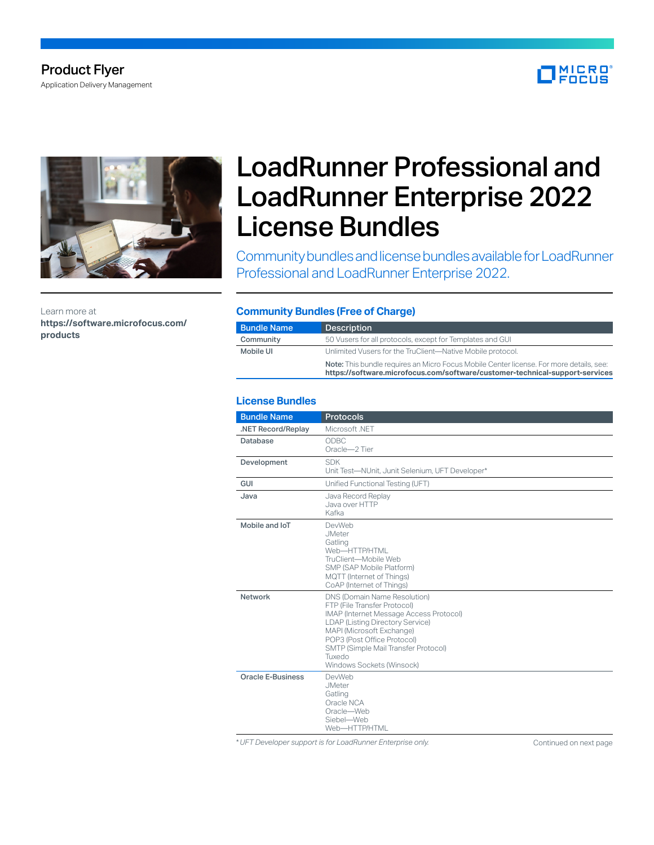# Product Flyer

Application Delivery Management





Learn more at **[https://software.microfocus.com/](https://software.microfocus.com/products) [products](https://software.microfocus.com/products)**

# LoadRunner Professional and LoadRunner Enterprise 2022 License Bundles

Community bundles and license bundles available for LoadRunner Professional and LoadRunner Enterprise 2022.

#### **Community Bundles (Free of Charge)**

| <b>Bundle Name</b> | <b>Description</b>                                                                                                                                                             |
|--------------------|--------------------------------------------------------------------------------------------------------------------------------------------------------------------------------|
| Community          | 50 Vusers for all protocols, except for Templates and GUI                                                                                                                      |
| Mobile UI          | Unlimited Vusers for the TruClient-Native Mobile protocol.                                                                                                                     |
|                    | <b>Note:</b> This bundle requires an Micro Focus Mobile Center license. For more details, see:<br>https://software.microfocus.com/software/customer-technical-support-services |

## **License Bundles**

| <b>Bundle Name</b> | <b>Protocols</b>                                                                                                                                                                                                                                                                       |
|--------------------|----------------------------------------------------------------------------------------------------------------------------------------------------------------------------------------------------------------------------------------------------------------------------------------|
| .NET Record/Replay | Microsoft .NFT                                                                                                                                                                                                                                                                         |
| <b>Database</b>    | ODBC<br>Oracle-2 Tier                                                                                                                                                                                                                                                                  |
| Development        | <b>SDK</b><br>Unit Test-NUnit, Junit Selenium, UFT Developer*                                                                                                                                                                                                                          |
| <b>GUI</b>         | Unified Functional Testing (UFT)                                                                                                                                                                                                                                                       |
| Java               | Java Record Replay<br>Java over HTTP<br>Kafka                                                                                                                                                                                                                                          |
| Mobile and IoT     | DevWeb<br><b>JMeter</b><br>Gatling<br>Web-HTTP/HTML<br>TruClient-Mobile Web<br>SMP (SAP Mobile Platform)<br>MQTT (Internet of Things)<br>CoAP (Internet of Things)                                                                                                                     |
| Network            | DNS (Domain Name Resolution)<br>FTP (File Transfer Protocol)<br>IMAP (Internet Message Access Protocol)<br>LDAP (Listing Directory Service)<br>MAPI (Microsoft Exchange)<br>POP3 (Post Office Protocol)<br>SMTP (Simple Mail Transfer Protocol)<br>Tuxedo<br>Windows Sockets (Winsock) |
| Oracle E-Business  | DevWeb<br><b>JMeter</b><br>Gatling<br>Oracle NCA<br>Oracle-Web<br>Siebel-Web<br>Web-HTTP/HTML                                                                                                                                                                                          |

\* UFT Developer support is for LoadRunner Enterprise only. **[Continued on next page](#page-1-0)**